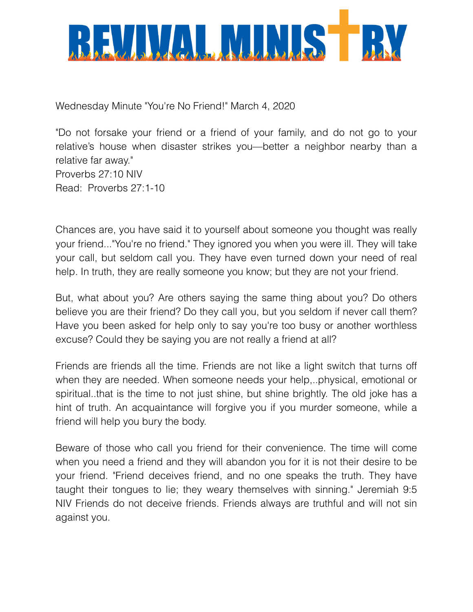

Wednesday Minute "You're No Friend!" March 4, 2020

"Do not forsake your friend or a friend of your family, and do not go to your relative's house when disaster strikes you—better a neighbor nearby than a relative far away." Proverbs 27:10 NIV Read: Proverbs 27:1-10

Chances are, you have said it to yourself about someone you thought was really your friend..."You're no friend." They ignored you when you were ill. They will take your call, but seldom call you. They have even turned down your need of real help. In truth, they are really someone you know; but they are not your friend.

But, what about you? Are others saying the same thing about you? Do others believe you are their friend? Do they call you, but you seldom if never call them? Have you been asked for help only to say you're too busy or another worthless excuse? Could they be saying you are not really a friend at all?

Friends are friends all the time. Friends are not like a light switch that turns off when they are needed. When someone needs your help,..physical, emotional or spiritual..that is the time to not just shine, but shine brightly. The old joke has a hint of truth. An acquaintance will forgive you if you murder someone, while a friend will help you bury the body.

Beware of those who call you friend for their convenience. The time will come when you need a friend and they will abandon you for it is not their desire to be your friend. "Friend deceives friend, and no one speaks the truth. They have taught their tongues to lie; they weary themselves with sinning." Jeremiah 9:5 NIV Friends do not deceive friends. Friends always are truthful and will not sin against you.